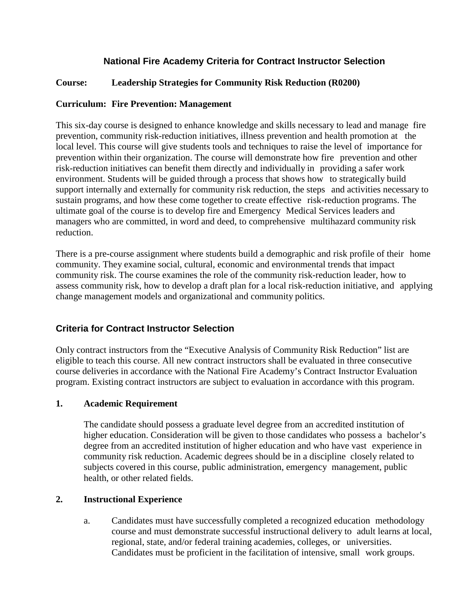# **National Fire Academy Criteria for Contract Instructor Selection**

## **Course: Leadership Strategies for Community Risk Reduction (R0200)**

### **Curriculum: Fire Prevention: Management**

This six-day course is designed to enhance knowledge and skills necessary to lead and manage fire prevention, community risk-reduction initiatives, illness prevention and health promotion at the local level. This course will give students tools and techniques to raise the level of importance for prevention within their organization. The course will demonstrate how fire prevention and other risk-reduction initiatives can benefit them directly and individually in providing a safer work environment. Students will be guided through a process that shows how to strategically build support internally and externally for community risk reduction, the steps and activities necessary to sustain programs, and how these come together to create effective risk-reduction programs. The ultimate goal of the course is to develop fire and Emergency Medical Services leaders and managers who are committed, in word and deed, to comprehensive multihazard community risk reduction.

There is a pre-course assignment where students build a demographic and risk profile of their home community. They examine social, cultural, economic and environmental trends that impact community risk. The course examines the role of the community risk-reduction leader, how to assess community risk, how to develop a draft plan for a local risk-reduction initiative, and applying change management models and organizational and community politics.

# **Criteria for Contract Instructor Selection**

Only contract instructors from the "Executive Analysis of Community Risk Reduction" list are eligible to teach this course. All new contract instructors shall be evaluated in three consecutive course deliveries in accordance with the National Fire Academy's Contract Instructor Evaluation program. Existing contract instructors are subject to evaluation in accordance with this program.

#### **1. Academic Requirement**

The candidate should possess a graduate level degree from an accredited institution of higher education. Consideration will be given to those candidates who possess a bachelor's degree from an accredited institution of higher education and who have vast experience in community risk reduction. Academic degrees should be in a discipline closely related to subjects covered in this course, public administration, emergency management, public health, or other related fields.

#### **2. Instructional Experience**

a. Candidates must have successfully completed a recognized education methodology course and must demonstrate successful instructional delivery to adult learns at local, regional, state, and/or federal training academies, colleges, or universities. Candidates must be proficient in the facilitation of intensive, small work groups.